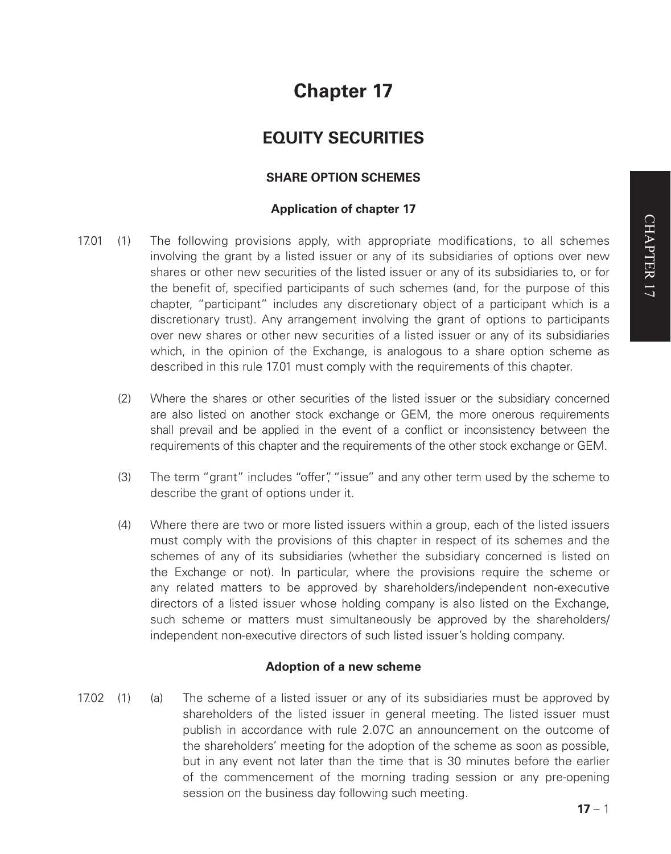# **Chapter 17**

# **EQUITY SECURITIES**

# **SHARE OPTION SCHEMES**

### **Application of chapter 17**

- 17.01 (1) The following provisions apply, with appropriate modifications, to all schemes involving the grant by a listed issuer or any of its subsidiaries of options over new shares or other new securities of the listed issuer or any of its subsidiaries to, or for the benefit of, specified participants of such schemes (and, for the purpose of this chapter, "participant" includes any discretionary object of a participant which is a discretionary trust). Any arrangement involving the grant of options to participants over new shares or other new securities of a listed issuer or any of its subsidiaries which, in the opinion of the Exchange, is analogous to a share option scheme as described in this rule 17.01 must comply with the requirements of this chapter.
	- (2) Where the shares or other securities of the listed issuer or the subsidiary concerned are also listed on another stock exchange or GEM, the more onerous requirements shall prevail and be applied in the event of a conflict or inconsistency between the requirements of this chapter and the requirements of the other stock exchange or GEM.
	- (3) The term "grant" includes "offer", "issue" and any other term used by the scheme to describe the grant of options under it.
	- (4) Where there are two or more listed issuers within a group, each of the listed issuers must comply with the provisions of this chapter in respect of its schemes and the schemes of any of its subsidiaries (whether the subsidiary concerned is listed on the Exchange or not). In particular, where the provisions require the scheme or any related matters to be approved by shareholders/independent non-executive directors of a listed issuer whose holding company is also listed on the Exchange, such scheme or matters must simultaneously be approved by the shareholders/ independent non-executive directors of such listed issuer's holding company.

#### **Adoption of a new scheme**

17.02 (1) (a) The scheme of a listed issuer or any of its subsidiaries must be approved by shareholders of the listed issuer in general meeting. The listed issuer must publish in accordance with rule 2.07C an announcement on the outcome of the shareholders' meeting for the adoption of the scheme as soon as possible, but in any event not later than the time that is 30 minutes before the earlier of the commencement of the morning trading session or any pre-opening session on the business day following such meeting.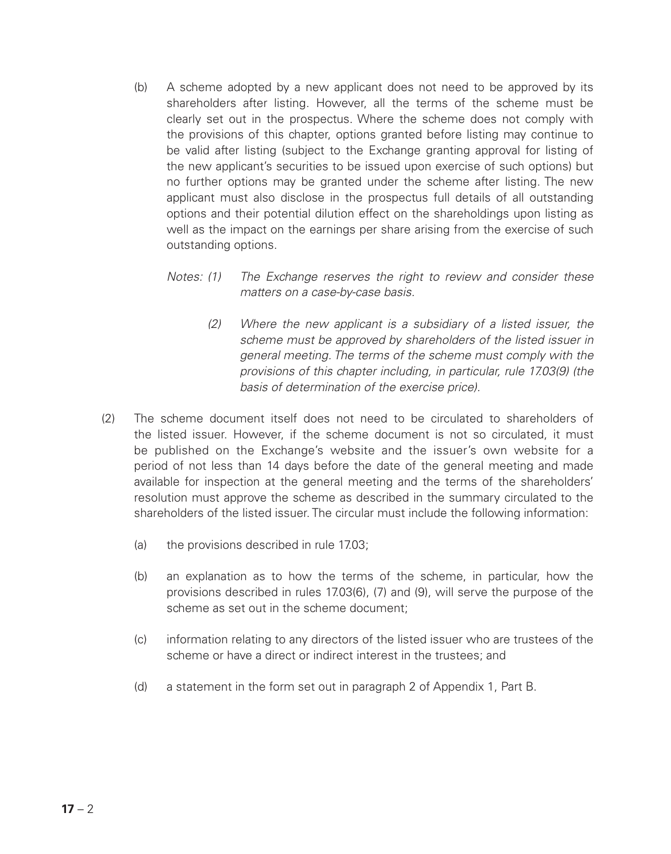- (b) A scheme adopted by a new applicant does not need to be approved by its shareholders after listing. However, all the terms of the scheme must be clearly set out in the prospectus. Where the scheme does not comply with the provisions of this chapter, options granted before listing may continue to be valid after listing (subject to the Exchange granting approval for listing of the new applicant's securities to be issued upon exercise of such options) but no further options may be granted under the scheme after listing. The new applicant must also disclose in the prospectus full details of all outstanding options and their potential dilution effect on the shareholdings upon listing as well as the impact on the earnings per share arising from the exercise of such outstanding options.
	- *Notes: (1) The Exchange reserves the right to review and consider these matters on a case-by-case basis.*
		- *(2) Where the new applicant is a subsidiary of a listed issuer, the scheme must be approved by shareholders of the listed issuer in general meeting. The terms of the scheme must comply with the provisions of this chapter including, in particular, rule 17.03(9) (the basis of determination of the exercise price).*
- (2) The scheme document itself does not need to be circulated to shareholders of the listed issuer. However, if the scheme document is not so circulated, it must be published on the Exchange's website and the issuer's own website for a period of not less than 14 days before the date of the general meeting and made available for inspection at the general meeting and the terms of the shareholders' resolution must approve the scheme as described in the summary circulated to the shareholders of the listed issuer. The circular must include the following information:
	- (a) the provisions described in rule 17.03;
	- (b) an explanation as to how the terms of the scheme, in particular, how the provisions described in rules 17.03(6), (7) and (9), will serve the purpose of the scheme as set out in the scheme document;
	- (c) information relating to any directors of the listed issuer who are trustees of the scheme or have a direct or indirect interest in the trustees; and
	- (d) a statement in the form set out in paragraph 2 of Appendix 1, Part B.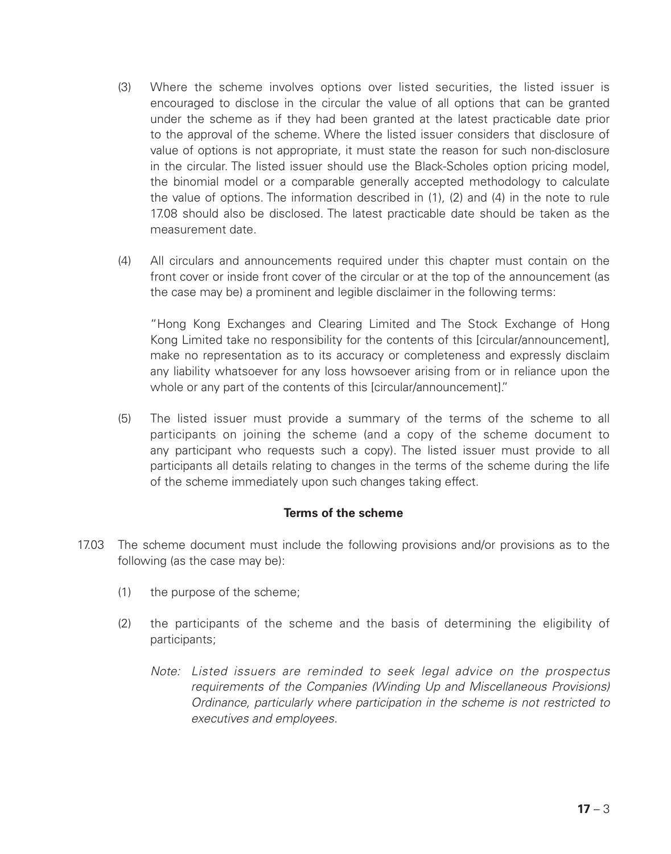- (3) Where the scheme involves options over listed securities, the listed issuer is encouraged to disclose in the circular the value of all options that can be granted under the scheme as if they had been granted at the latest practicable date prior to the approval of the scheme. Where the listed issuer considers that disclosure of value of options is not appropriate, it must state the reason for such non-disclosure in the circular. The listed issuer should use the Black-Scholes option pricing model, the binomial model or a comparable generally accepted methodology to calculate the value of options. The information described in (1), (2) and (4) in the note to rule 17.08 should also be disclosed. The latest practicable date should be taken as the measurement date.
- (4) All circulars and announcements required under this chapter must contain on the front cover or inside front cover of the circular or at the top of the announcement (as the case may be) a prominent and legible disclaimer in the following terms:

"Hong Kong Exchanges and Clearing Limited and The Stock Exchange of Hong Kong Limited take no responsibility for the contents of this [circular/announcement], make no representation as to its accuracy or completeness and expressly disclaim any liability whatsoever for any loss howsoever arising from or in reliance upon the whole or any part of the contents of this [circular/announcement]."

(5) The listed issuer must provide a summary of the terms of the scheme to all participants on joining the scheme (and a copy of the scheme document to any participant who requests such a copy). The listed issuer must provide to all participants all details relating to changes in the terms of the scheme during the life of the scheme immediately upon such changes taking effect.

# **Terms of the scheme**

- 17.03 The scheme document must include the following provisions and/or provisions as to the following (as the case may be):
	- (1) the purpose of the scheme;
	- (2) the participants of the scheme and the basis of determining the eligibility of participants;
		- *Note: Listed issuers are reminded to seek legal advice on the prospectus requirements of the Companies (Winding Up and Miscellaneous Provisions) Ordinance, particularly where participation in the scheme is not restricted to executives and employees.*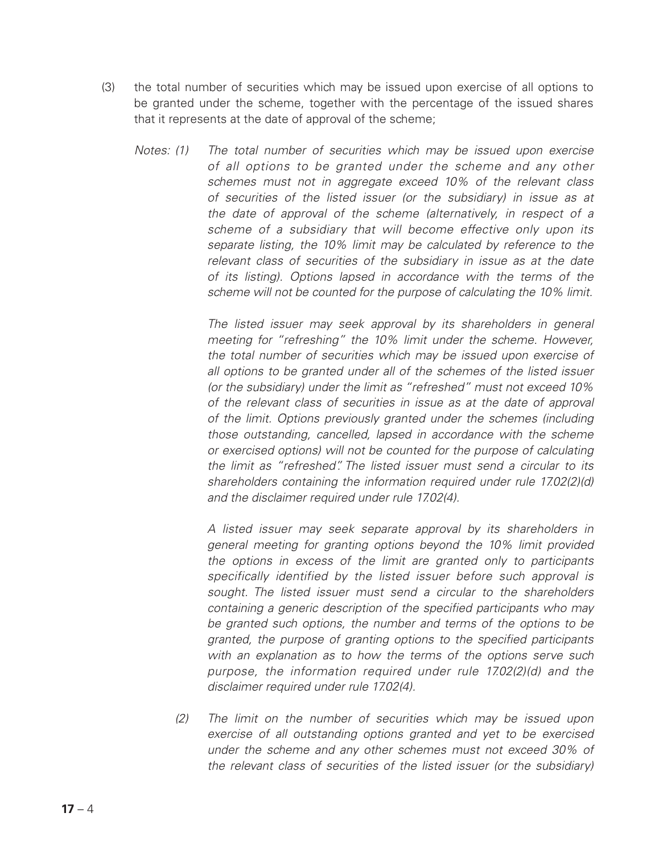- (3) the total number of securities which may be issued upon exercise of all options to be granted under the scheme, together with the percentage of the issued shares that it represents at the date of approval of the scheme;
	- *Notes: (1) The total number of securities which may be issued upon exercise of all options to be granted under the scheme and any other schemes must not in aggregate exceed 10% of the relevant class of securities of the listed issuer (or the subsidiary) in issue as at the date of approval of the scheme (alternatively, in respect of a scheme of a subsidiary that will become effective only upon its separate listing, the 10% limit may be calculated by reference to the relevant class of securities of the subsidiary in issue as at the date of its listing). Options lapsed in accordance with the terms of the scheme will not be counted for the purpose of calculating the 10% limit.*

*The listed issuer may seek approval by its shareholders in general meeting for "refreshing" the 10% limit under the scheme. However, the total number of securities which may be issued upon exercise of all options to be granted under all of the schemes of the listed issuer (or the subsidiary) under the limit as "refreshed" must not exceed 10% of the relevant class of securities in issue as at the date of approval of the limit. Options previously granted under the schemes (including those outstanding, cancelled, lapsed in accordance with the scheme or exercised options) will not be counted for the purpose of calculating the limit as "refreshed". The listed issuer must send a circular to its shareholders containing the information required under rule 17.02(2)(d) and the disclaimer required under rule 17.02(4).*

*A listed issuer may seek separate approval by its shareholders in general meeting for granting options beyond the 10% limit provided the options in excess of the limit are granted only to participants specifically identified by the listed issuer before such approval is sought. The listed issuer must send a circular to the shareholders containing a generic description of the specified participants who may be granted such options, the number and terms of the options to be granted, the purpose of granting options to the specified participants with an explanation as to how the terms of the options serve such purpose, the information required under rule 17.02(2)(d) and the disclaimer required under rule 17.02(4).*

*(2) The limit on the number of securities which may be issued upon exercise of all outstanding options granted and yet to be exercised under the scheme and any other schemes must not exceed 30% of the relevant class of securities of the listed issuer (or the subsidiary)*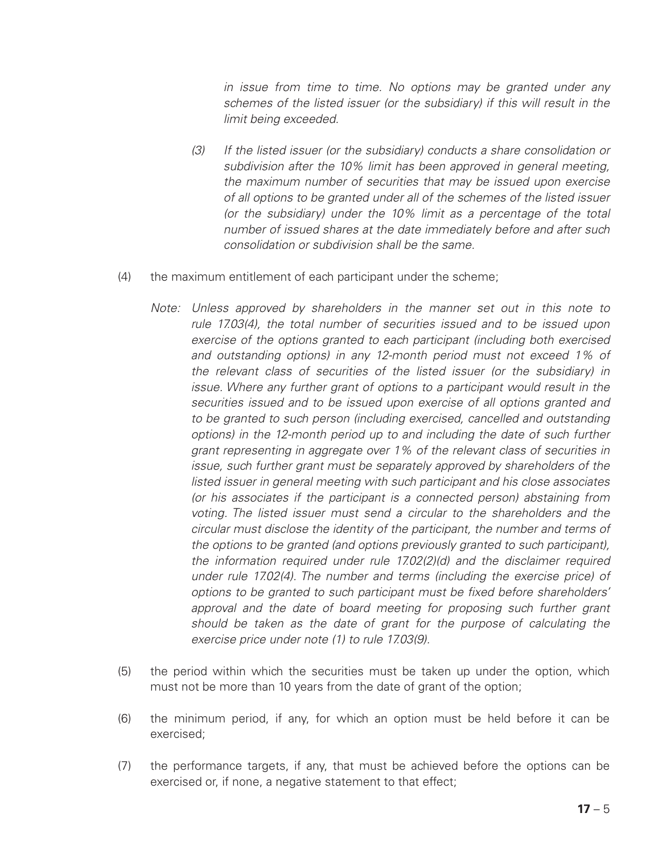*in issue from time to time. No options may be granted under any schemes of the listed issuer (or the subsidiary) if this will result in the limit being exceeded.*

- *(3) If the listed issuer (or the subsidiary) conducts a share consolidation or subdivision after the 10% limit has been approved in general meeting, the maximum number of securities that may be issued upon exercise of all options to be granted under all of the schemes of the listed issuer (or the subsidiary) under the 10% limit as a percentage of the total number of issued shares at the date immediately before and after such consolidation or subdivision shall be the same.*
- (4) the maximum entitlement of each participant under the scheme;
	- *Note: Unless approved by shareholders in the manner set out in this note to rule 17.03(4), the total number of securities issued and to be issued upon exercise of the options granted to each participant (including both exercised and outstanding options) in any 12-month period must not exceed 1% of the relevant class of securities of the listed issuer (or the subsidiary) in issue.* Where any further grant of options to a participant would result in the *securities issued and to be issued upon exercise of all options granted and to be granted to such person (including exercised, cancelled and outstanding options) in the 12-month period up to and including the date of such further grant representing in aggregate over 1% of the relevant class of securities in issue, such further grant must be separately approved by shareholders of the listed issuer in general meeting with such participant and his close associates (or his associates if the participant is a connected person) abstaining from voting. The listed issuer must send a circular to the shareholders and the circular must disclose the identity of the participant, the number and terms of the options to be granted (and options previously granted to such participant), the information required under rule 17.02(2)(d) and the disclaimer required under rule 17.02(4). The number and terms (including the exercise price) of options to be granted to such participant must be fixed before shareholders'*  approval and the date of board meeting for proposing such further grant *should be taken as the date of grant for the purpose of calculating the exercise price under note (1) to rule 17.03(9).*
- (5) the period within which the securities must be taken up under the option, which must not be more than 10 years from the date of grant of the option;
- (6) the minimum period, if any, for which an option must be held before it can be exercised;
- (7) the performance targets, if any, that must be achieved before the options can be exercised or, if none, a negative statement to that effect;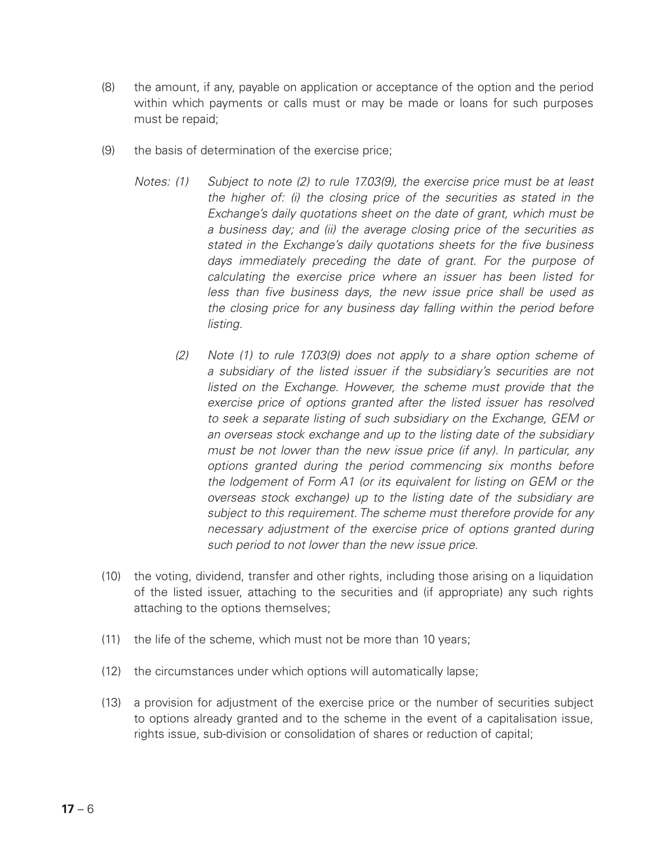- (8) the amount, if any, payable on application or acceptance of the option and the period within which payments or calls must or may be made or loans for such purposes must be repaid;
- (9) the basis of determination of the exercise price;
	- *Notes: (1) Subject to note (2) to rule 17.03(9), the exercise price must be at least the higher of: (i) the closing price of the securities as stated in the Exchange's daily quotations sheet on the date of grant, which must be a business day; and (ii) the average closing price of the securities as stated in the Exchange's daily quotations sheets for the five business days immediately preceding the date of grant. For the purpose of calculating the exercise price where an issuer has been listed for less than five business days, the new issue price shall be used as the closing price for any business day falling within the period before listing.*
		- *(2) Note (1) to rule 17.03(9) does not apply to a share option scheme of a subsidiary of the listed issuer if the subsidiary's securities are not listed on the Exchange. However, the scheme must provide that the exercise price of options granted after the listed issuer has resolved to seek a separate listing of such subsidiary on the Exchange, GEM or an overseas stock exchange and up to the listing date of the subsidiary must be not lower than the new issue price (if any). In particular, any options granted during the period commencing six months before the lodgement of Form A1 (or its equivalent for listing on GEM or the overseas stock exchange) up to the listing date of the subsidiary are subject to this requirement. The scheme must therefore provide for any necessary adjustment of the exercise price of options granted during such period to not lower than the new issue price.*
- (10) the voting, dividend, transfer and other rights, including those arising on a liquidation of the listed issuer, attaching to the securities and (if appropriate) any such rights attaching to the options themselves;
- (11) the life of the scheme, which must not be more than 10 years;
- (12) the circumstances under which options will automatically lapse;
- (13) a provision for adjustment of the exercise price or the number of securities subject to options already granted and to the scheme in the event of a capitalisation issue, rights issue, sub-division or consolidation of shares or reduction of capital;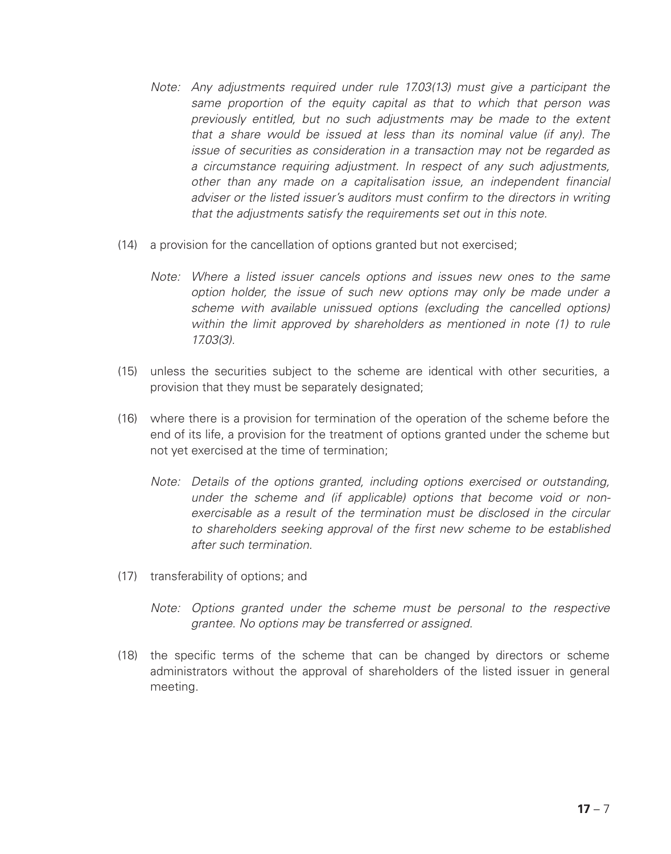- *Note: Any adjustments required under rule 17.03(13) must give a participant the same proportion of the equity capital as that to which that person was previously entitled, but no such adjustments may be made to the extent that a share would be issued at less than its nominal value (if any). The issue of securities as consideration in a transaction may not be regarded as a circumstance requiring adjustment. In respect of any such adjustments, other than any made on a capitalisation issue, an independent financial adviser or the listed issuer's auditors must confirm to the directors in writing that the adjustments satisfy the requirements set out in this note.*
- (14) a provision for the cancellation of options granted but not exercised;
	- *Note: Where a listed issuer cancels options and issues new ones to the same option holder, the issue of such new options may only be made under a scheme with available unissued options (excluding the cancelled options) within the limit approved by shareholders as mentioned in note (1) to rule 17.03(3).*
- (15) unless the securities subject to the scheme are identical with other securities, a provision that they must be separately designated;
- (16) where there is a provision for termination of the operation of the scheme before the end of its life, a provision for the treatment of options granted under the scheme but not yet exercised at the time of termination;
	- *Note: Details of the options granted, including options exercised or outstanding, under the scheme and (if applicable) options that become void or nonexercisable as a result of the termination must be disclosed in the circular to shareholders seeking approval of the first new scheme to be established after such termination.*
- (17) transferability of options; and
	- *Note: Options granted under the scheme must be personal to the respective grantee. No options may be transferred or assigned.*
- (18) the specific terms of the scheme that can be changed by directors or scheme administrators without the approval of shareholders of the listed issuer in general meeting.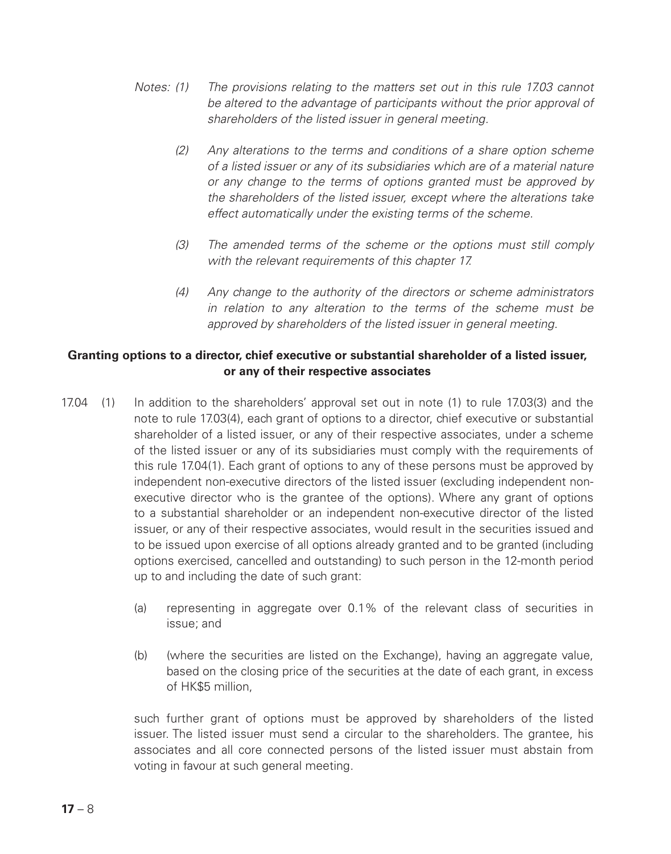- *Notes: (1) The provisions relating to the matters set out in this rule 17.03 cannot be altered to the advantage of participants without the prior approval of shareholders of the listed issuer in general meeting.*
	- *(2) Any alterations to the terms and conditions of a share option scheme of a listed issuer or any of its subsidiaries which are of a material nature or any change to the terms of options granted must be approved by the shareholders of the listed issuer, except where the alterations take effect automatically under the existing terms of the scheme.*
	- *(3) The amended terms of the scheme or the options must still comply with the relevant requirements of this chapter 17.*
	- *(4) Any change to the authority of the directors or scheme administrators in relation to any alteration to the terms of the scheme must be approved by shareholders of the listed issuer in general meeting.*

### **Granting options to a director, chief executive or substantial shareholder of a listed issuer, or any of their respective associates**

- 17.04 (1) In addition to the shareholders' approval set out in note (1) to rule 17.03(3) and the note to rule 17.03(4), each grant of options to a director, chief executive or substantial shareholder of a listed issuer, or any of their respective associates, under a scheme of the listed issuer or any of its subsidiaries must comply with the requirements of this rule 17.04(1). Each grant of options to any of these persons must be approved by independent non-executive directors of the listed issuer (excluding independent nonexecutive director who is the grantee of the options). Where any grant of options to a substantial shareholder or an independent non-executive director of the listed issuer, or any of their respective associates, would result in the securities issued and to be issued upon exercise of all options already granted and to be granted (including options exercised, cancelled and outstanding) to such person in the 12-month period up to and including the date of such grant:
	- (a) representing in aggregate over 0.1% of the relevant class of securities in issue; and
	- (b) (where the securities are listed on the Exchange), having an aggregate value, based on the closing price of the securities at the date of each grant, in excess of HK\$5 million,

such further grant of options must be approved by shareholders of the listed issuer. The listed issuer must send a circular to the shareholders. The grantee, his associates and all core connected persons of the listed issuer must abstain from voting in favour at such general meeting.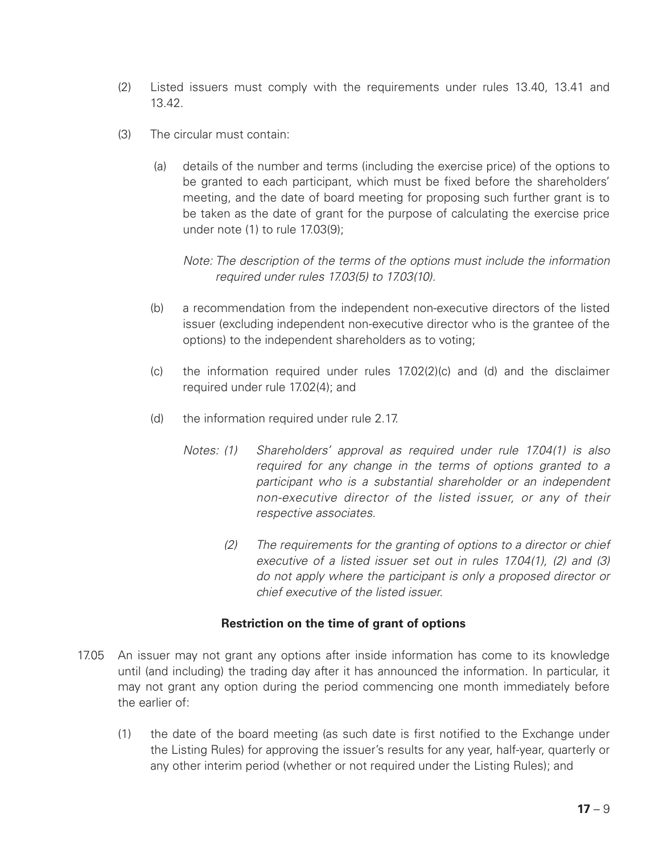- (2) Listed issuers must comply with the requirements under rules 13.40, 13.41 and 13.42.
- (3) The circular must contain:
	- (a) details of the number and terms (including the exercise price) of the options to be granted to each participant, which must be fixed before the shareholders' meeting, and the date of board meeting for proposing such further grant is to be taken as the date of grant for the purpose of calculating the exercise price under note (1) to rule 17.03(9);

*Note: The description of the terms of the options must include the information required under rules 17.03(5) to 17.03(10).*

- (b) a recommendation from the independent non-executive directors of the listed issuer (excluding independent non-executive director who is the grantee of the options) to the independent shareholders as to voting;
- (c) the information required under rules 17.02(2)(c) and (d) and the disclaimer required under rule 17.02(4); and
- (d) the information required under rule 2.17.
	- *Notes: (1) Shareholders' approval as required under rule 17.04(1) is also required for any change in the terms of options granted to a participant who is a substantial shareholder or an independent non-executive director of the listed issuer, or any of their respective associates.*
		- *(2) The requirements for the granting of options to a director or chief executive of a listed issuer set out in rules 17.04(1), (2) and (3) do not apply where the participant is only a proposed director or chief executive of the listed issuer.*

# **Restriction on the time of grant of options**

- 17.05 An issuer may not grant any options after inside information has come to its knowledge until (and including) the trading day after it has announced the information. In particular, it may not grant any option during the period commencing one month immediately before the earlier of:
	- (1) the date of the board meeting (as such date is first notified to the Exchange under the Listing Rules) for approving the issuer's results for any year, half-year, quarterly or any other interim period (whether or not required under the Listing Rules); and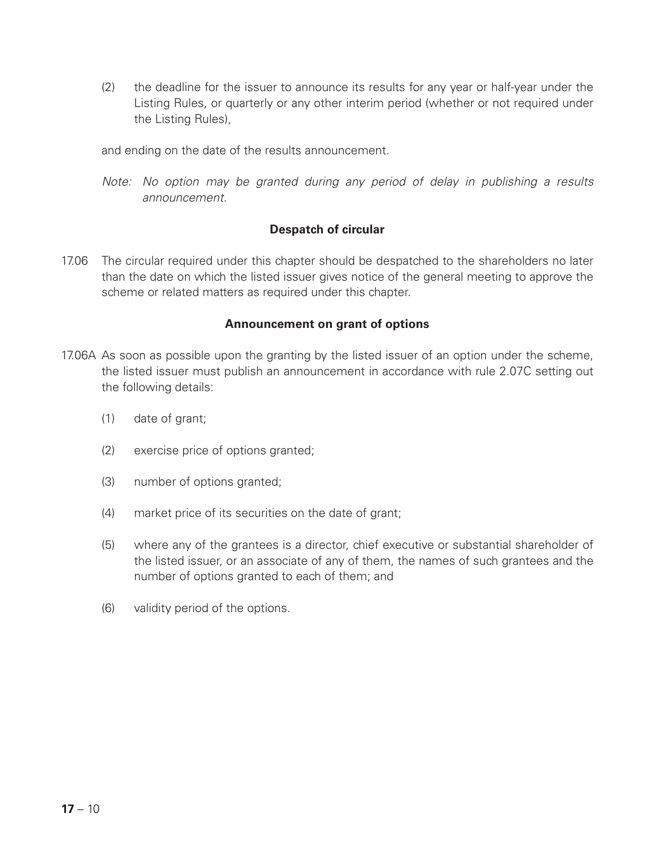(2) the deadline for the issuer to announce its results for any year or half-year under the Listing Rules, or quarterly or any other interim period (whether or not required under the Listing Rules),

and ending on the date of the results announcement.

*Note: No option may be granted during any period of delay in publishing a results announcement.*

### **Despatch of circular**

17.06 The circular required under this chapter should be despatched to the shareholders no later than the date on which the listed issuer gives notice of the general meeting to approve the scheme or related matters as required under this chapter.

#### **Announcement on grant of options**

- 17.06A As soon as possible upon the granting by the listed issuer of an option under the scheme, the listed issuer must publish an announcement in accordance with rule 2.07C setting out the following details:
	- (1) date of grant;
	- (2) exercise price of options granted;
	- (3) number of options granted;
	- (4) market price of its securities on the date of grant;
	- (5) where any of the grantees is a director, chief executive or substantial shareholder of the listed issuer, or an associate of any of them, the names of such grantees and the number of options granted to each of them; and
	- (6) validity period of the options.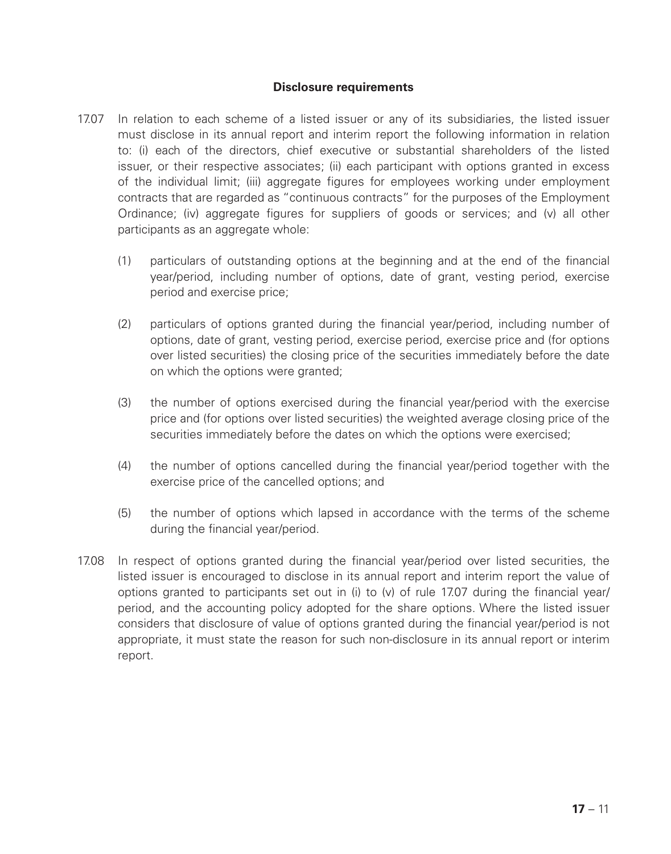#### **Disclosure requirements**

- 17.07 In relation to each scheme of a listed issuer or any of its subsidiaries, the listed issuer must disclose in its annual report and interim report the following information in relation to: (i) each of the directors, chief executive or substantial shareholders of the listed issuer, or their respective associates; (ii) each participant with options granted in excess of the individual limit; (iii) aggregate figures for employees working under employment contracts that are regarded as "continuous contracts" for the purposes of the Employment Ordinance; (iv) aggregate figures for suppliers of goods or services; and (v) all other participants as an aggregate whole:
	- (1) particulars of outstanding options at the beginning and at the end of the financial year/period, including number of options, date of grant, vesting period, exercise period and exercise price;
	- (2) particulars of options granted during the financial year/period, including number of options, date of grant, vesting period, exercise period, exercise price and (for options over listed securities) the closing price of the securities immediately before the date on which the options were granted;
	- (3) the number of options exercised during the financial year/period with the exercise price and (for options over listed securities) the weighted average closing price of the securities immediately before the dates on which the options were exercised;
	- (4) the number of options cancelled during the financial year/period together with the exercise price of the cancelled options; and
	- (5) the number of options which lapsed in accordance with the terms of the scheme during the financial year/period.
- 17.08 In respect of options granted during the financial year/period over listed securities, the listed issuer is encouraged to disclose in its annual report and interim report the value of options granted to participants set out in (i) to (v) of rule 17.07 during the financial year/ period, and the accounting policy adopted for the share options. Where the listed issuer considers that disclosure of value of options granted during the financial year/period is not appropriate, it must state the reason for such non-disclosure in its annual report or interim report.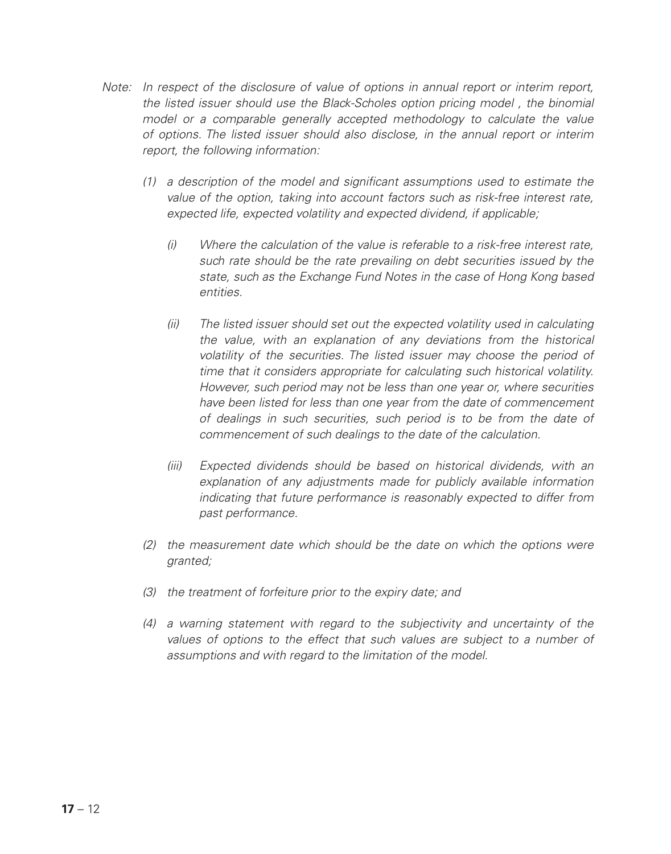- *Note: In respect of the disclosure of value of options in annual report or interim report, the listed issuer should use the Black-Scholes option pricing model , the binomial model or a comparable generally accepted methodology to calculate the value of options. The listed issuer should also disclose, in the annual report or interim report, the following information:*
	- *(1) a description of the model and significant assumptions used to estimate the value of the option, taking into account factors such as risk-free interest rate, expected life, expected volatility and expected dividend, if applicable;*
		- *(i) Where the calculation of the value is referable to a risk-free interest rate, such rate should be the rate prevailing on debt securities issued by the state, such as the Exchange Fund Notes in the case of Hong Kong based entities.*
		- *(ii) The listed issuer should set out the expected volatility used in calculating the value, with an explanation of any deviations from the historical volatility of the securities. The listed issuer may choose the period of time that it considers appropriate for calculating such historical volatility. However, such period may not be less than one year or, where securities have been listed for less than one year from the date of commencement of dealings in such securities, such period is to be from the date of commencement of such dealings to the date of the calculation.*
		- *(iii) Expected dividends should be based on historical dividends, with an explanation of any adjustments made for publicly available information indicating that future performance is reasonably expected to differ from past performance.*
	- *(2) the measurement date which should be the date on which the options were granted;*
	- *(3) the treatment of forfeiture prior to the expiry date; and*
	- *(4) a warning statement with regard to the subjectivity and uncertainty of the values of options to the effect that such values are subject to a number of assumptions and with regard to the limitation of the model.*